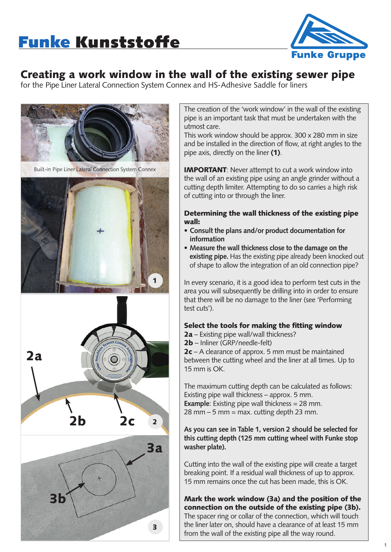

# Creating a work window in the wall of the existing sewer pipe

for the Pipe Liner Lateral Connection System Connex and HS-Adhesive Saddle for liners



The creation of the 'work window' in the wall of the existing pipe is an important task that must be undertaken with the utmost care.

This work window should be approx. 300 x 280 mm in size and be installed in the direction of flow, at right angles to the pipe axis, directly on the liner (1).

IMPORTANT: Never attempt to cut a work window into the wall of an existing pipe using an angle grinder without a cutting depth limiter. Attempting to do so carries a high risk of cutting into or through the liner.

#### Determining the wall thickness of the existing pipe wall:

- **Consult the plans and/or product documentation for information**
- **Measure the wall thickness close to the damage on the existing pipe.** Has the existing pipe already been knocked out of shape to allow the integration of an old connection pipe?

In every scenario, it is a good idea to perform test cuts in the area you will subsequently be drilling into in order to ensure that there will be no damage to the liner (see 'Performing test cuts').

## Select the tools for making the fitting window

- 2a Existing pipe wall/wall thickness?
- 2b Inliner (GRP/needle-felt)

2c – A clearance of approx. 5 mm must be maintained between the cutting wheel and the liner at all times. Up to 15 mm is OK.

The maximum cutting depth can be calculated as follows: Existing pipe wall thickness – approx. 5 mm. **Example**: Existing pipe wall thickness = 28 mm.  $28$  mm  $-5$  mm  $=$  max. cutting depth 23 mm.

**As you can see in Table 1, version 2 should be selected for this cutting depth (125 mm cutting wheel with Funke stop washer plate).**

Cutting into the wall of the existing pipe will create a target breaking point. If a residual wall thickness of up to approx. 15 mm remains once the cut has been made, this is OK.

### Mark the work window (3a) and the position of the connection on the outside of the existing pipe (3b).

The spacer ring or collar of the connection, which will touch the liner later on, should have a clearance of at least 15 mm from the wall of the existing pipe all the way round.